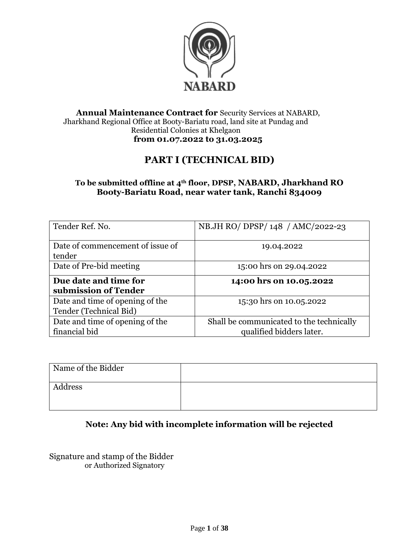

#### **Annual Maintenance Contract for** Security Services at NABARD, Jharkhand Regional Office at Booty-Bariatu road, land site at Pundag and Residential Colonies at Khelgaon **from 01.07.2022 to 31.03.2025**

# **PART I (TECHNICAL BID)**

### **To be submitted offline at 4th floor, DPSP, NABARD, Jharkhand RO Booty-Bariatu Road, near water tank, Ranchi 834009**

| Tender Ref. No.                            | NB.JH RO/ DPSP/148 / AMC/2022-23         |
|--------------------------------------------|------------------------------------------|
| Date of commencement of issue of<br>tender | 19.04.2022                               |
| Date of Pre-bid meeting                    | 15:00 hrs on 29.04.2022                  |
| Due date and time for                      | 14:00 hrs on 10.05.2022                  |
| submission of Tender                       |                                          |
| Date and time of opening of the            | 15:30 hrs on 10.05.2022                  |
| Tender (Technical Bid)                     |                                          |
| Date and time of opening of the            | Shall be communicated to the technically |
| financial bid                              | qualified bidders later.                 |

| Name of the Bidder |  |
|--------------------|--|
| Address            |  |

# **Note: Any bid with incomplete information will be rejected**

Signature and stamp of the Bidder or Authorized Signatory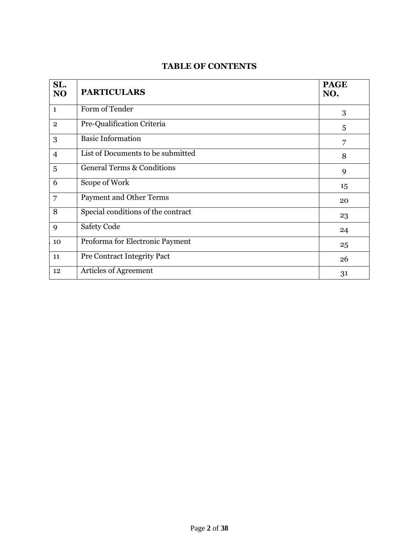### **TABLE OF CONTENTS**

| SL.<br><b>NO</b> | <b>PARTICULARS</b>                    | <b>PAGE</b><br>NO. |
|------------------|---------------------------------------|--------------------|
| $\mathbf{1}$     | Form of Tender                        | 3                  |
| $\overline{2}$   | Pre-Qualification Criteria            | 5                  |
| 3                | <b>Basic Information</b>              | 7                  |
| $\overline{4}$   | List of Documents to be submitted     | 8                  |
| 5                | <b>General Terms &amp; Conditions</b> | 9                  |
| 6                | Scope of Work                         | 15                 |
| 7                | <b>Payment and Other Terms</b>        | 20                 |
| 8                | Special conditions of the contract    | 23                 |
| 9                | <b>Safety Code</b>                    | 24                 |
| 10               | Proforma for Electronic Payment       | 25                 |
| 11               | Pre Contract Integrity Pact           | 26                 |
| 12               | Articles of Agreement                 | 31                 |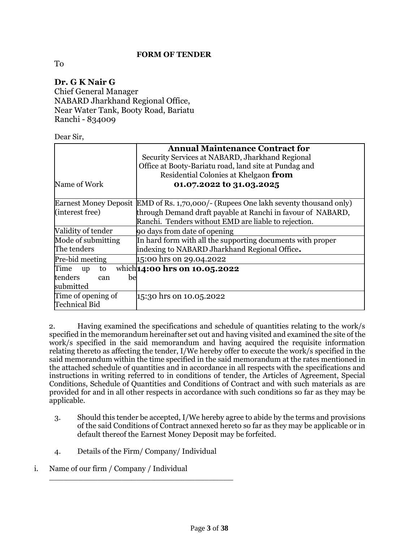#### **FORM OF TENDER**

To

#### **Dr. G K Nair G** Chief General Manager NABARD Jharkhand Regional Office, Near Water Tank, Booty Road, Bariatu Ranchi - 834009

Dear Sir,

|                         | <b>Annual Maintenance Contract for</b><br>Security Services at NABARD, Jharkhand Regional |
|-------------------------|-------------------------------------------------------------------------------------------|
|                         | Office at Booty-Bariatu road, land site at Pundag and                                     |
|                         | Residential Colonies at Khelgaon from                                                     |
| Name of Work            | 01.07.2022 to 31.03.2025                                                                  |
|                         | Earnest Money Deposit EMD of Rs. 1,70,000/- (Rupees One lakh seventy thousand only)       |
| (interest free)         | through Demand draft payable at Ranchi in favour of NABARD,                               |
|                         | Ranchi. Tenders without EMD are liable to rejection.                                      |
| Validity of tender      | go days from date of opening                                                              |
| Mode of submitting      | In hard form with all the supporting documents with proper                                |
| The tenders             | indexing to NABARD Jharkhand Regional Office.                                             |
| Pre-bid meeting         | 15:00 hrs on 29.04.2022                                                                   |
| Time<br>to<br><b>up</b> | which <b>14:00 hrs on 10.05.2022</b>                                                      |
| tenders<br>be<br>can    |                                                                                           |
| submitted               |                                                                                           |
| Time of opening of      | 15:30 hrs on 10.05.2022                                                                   |
| <b>Technical Bid</b>    |                                                                                           |

2. Having examined the specifications and schedule of quantities relating to the work/s specified in the memorandum hereinafter set out and having visited and examined the site of the work/s specified in the said memorandum and having acquired the requisite information relating thereto as affecting the tender, I/We hereby offer to execute the work/s specified in the said memorandum within the time specified in the said memorandum at the rates mentioned in the attached schedule of quantities and in accordance in all respects with the specifications and instructions in writing referred to in conditions of tender, the Articles of Agreement, Special Conditions, Schedule of Quantities and Conditions of Contract and with such materials as are provided for and in all other respects in accordance with such conditions so far as they may be applicable.

- 3. Should this tender be accepted, I/We hereby agree to abide by the terms and provisions of the said Conditions of Contract annexed hereto so far as they may be applicable or in default thereof the Earnest Money Deposit may be forfeited.
- 4. Details of the Firm/ Company/ Individual

\_\_\_\_\_\_\_\_\_\_\_\_\_\_\_\_\_\_\_\_\_\_\_\_\_\_\_\_\_\_\_\_\_\_\_\_\_\_

i. Name of our firm / Company / Individual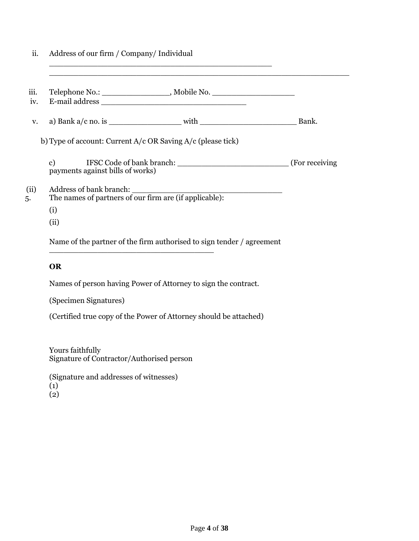| ii.         | Address of our firm / Company/ Individual<br><u> 1990 - Johann John Stone, market fan de Amerikaanske kommunister fan de Amerikaanske kommunister fan de Amerika</u> |       |
|-------------|----------------------------------------------------------------------------------------------------------------------------------------------------------------------|-------|
| iii.<br>iv. | Telephone No.: _______________________, Mobile No. ______________________________                                                                                    |       |
| V.          |                                                                                                                                                                      | Bank. |
|             | b) Type of account: Current $A/c$ OR Saving $A/c$ (please tick)                                                                                                      |       |
|             | c) IFSC Code of bank branch: (For receiving (For receiving<br>payments against bills of works)                                                                       |       |
| (ii)<br>5.  | The names of partners of our firm are (if applicable):<br>(i)                                                                                                        |       |
|             | (ii)                                                                                                                                                                 |       |
|             | Name of the partner of the firm authorised to sign tender / agreement                                                                                                |       |

#### **OR**

Names of person having Power of Attorney to sign the contract.

(Specimen Signatures)

(Certified true copy of the Power of Attorney should be attached)

Yours faithfully Signature of Contractor/Authorised person

(Signature and addresses of witnesses)  $\left(1\right)$  $\left( 2\right)$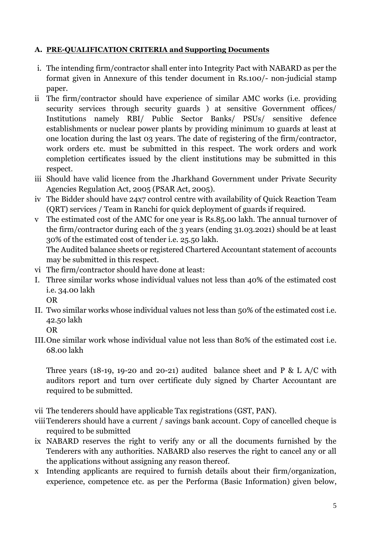# **A. PRE-QUALIFICATION CRITERIA and Supporting Documents**

- i. The intending firm/contractor shall enter into Integrity Pact with NABARD as per the format given in Annexure of this tender document in Rs.100/- non-judicial stamp paper.
- ii The firm/contractor should have experience of similar AMC works (i.e. providing security services through security guards ) at sensitive Government offices/ Institutions namely RBI/ Public Sector Banks/ PSUs/ sensitive defence establishments or nuclear power plants by providing minimum 10 guards at least at one location during the last 03 years. The date of registering of the firm/contractor, work orders etc. must be submitted in this respect. The work orders and work completion certificates issued by the client institutions may be submitted in this respect.
- iii Should have valid licence from the Jharkhand Government under Private Security Agencies Regulation Act, 2005 (PSAR Act, 2005).
- iv The Bidder should have 24x7 control centre with availability of Quick Reaction Team (QRT) services / Team in Ranchi for quick deployment of guards if required.
- v The estimated cost of the AMC for one year is Rs.85.00 lakh. The annual turnover of the firm/contractor during each of the 3 years (ending 31.03.2021) should be at least 30% of the estimated cost of tender i.e. 25.50 lakh.

The Audited balance sheets or registered Chartered Accountant statement of accounts may be submitted in this respect.

- vi The firm/contractor should have done at least:
- I. Three similar works whose individual values not less than 40% of the estimated cost i.e. 34.00 lakh

OR

II. Two similar works whose individual values not less than 50% of the estimated cost i.e. 42.50 lakh

OR

III.One similar work whose individual value not less than 80% of the estimated cost i.e. 68.00 lakh

Three years (18-19, 19-20 and 20-21) audited balance sheet and P & L A/C with auditors report and turn over certificate duly signed by Charter Accountant are required to be submitted.

- vii The tenderers should have applicable Tax registrations (GST, PAN).
- viiiTenderers should have a current / savings bank account. Copy of cancelled cheque is required to be submitted
- ix NABARD reserves the right to verify any or all the documents furnished by the Tenderers with any authorities. NABARD also reserves the right to cancel any or all the applications without assigning any reason thereof.
- x Intending applicants are required to furnish details about their firm/organization, experience, competence etc. as per the Performa (Basic Information) given below,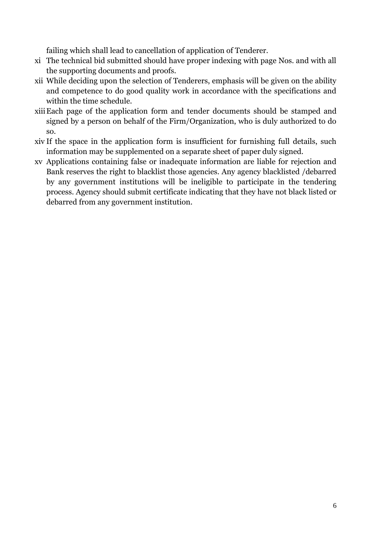failing which shall lead to cancellation of application of Tenderer.

- xi The technical bid submitted should have proper indexing with page Nos. and with all the supporting documents and proofs.
- xii While deciding upon the selection of Tenderers, emphasis will be given on the ability and competence to do good quality work in accordance with the specifications and within the time schedule.
- xiiiEach page of the application form and tender documents should be stamped and signed by a person on behalf of the Firm/Organization, who is duly authorized to do so.
- xiv If the space in the application form is insufficient for furnishing full details, such information may be supplemented on a separate sheet of paper duly signed.
- xv Applications containing false or inadequate information are liable for rejection and Bank reserves the right to blacklist those agencies. Any agency blacklisted /debarred by any government institutions will be ineligible to participate in the tendering process. Agency should submit certificate indicating that they have not black listed or debarred from any government institution.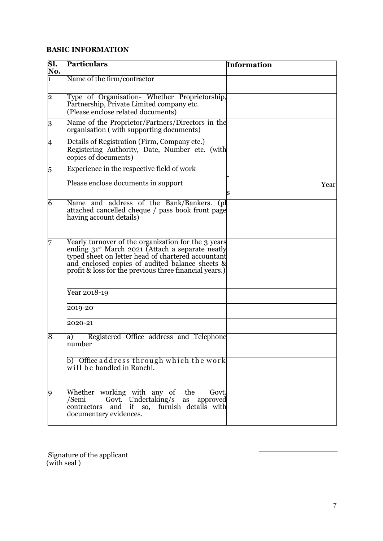### **BASIC INFORMATION**

| SI.<br>No.     | <b>Particulars</b>                                                                                                                                                                                                                                                                     | <b>Information</b> |
|----------------|----------------------------------------------------------------------------------------------------------------------------------------------------------------------------------------------------------------------------------------------------------------------------------------|--------------------|
| 1              | Name of the firm/contractor                                                                                                                                                                                                                                                            |                    |
| 2              | Type of Organisation- Whether Proprietorship,<br>Partnership, Private Limited company etc.<br>(Please enclose related documents)                                                                                                                                                       |                    |
| $\overline{3}$ | Name of the Proprietor/Partners/Directors in the<br>organisation (with supporting documents)                                                                                                                                                                                           |                    |
| 4              | Details of Registration (Firm, Company etc.)<br>Registering Authority, Date, Number etc. (with<br>copies of documents)                                                                                                                                                                 |                    |
| 5              | Experience in the respective field of work                                                                                                                                                                                                                                             |                    |
|                | Please enclose documents in support                                                                                                                                                                                                                                                    | Year               |
| 6              | Name and address of the Bank/Bankers. (pl<br>attached cancelled cheque / pass book front page<br>having account details)                                                                                                                                                               |                    |
| 7              | Yearly turnover of the organization for the 3 years<br>ending 31 <sup>st</sup> March 2021 (Attach a separate neatly<br>typed sheet on letter head of chartered accountant<br>and enclosed copies of audited balance sheets &<br>profit & loss for the previous three financial years.) |                    |
|                | Year 2018-19                                                                                                                                                                                                                                                                           |                    |
|                | 2019-20                                                                                                                                                                                                                                                                                |                    |
|                | 2020-21                                                                                                                                                                                                                                                                                |                    |
| 8              | Registered Office address and Telephone<br>a)<br>number                                                                                                                                                                                                                                |                    |
|                | b) Office address through which the work<br>will be handled in Ranchi.                                                                                                                                                                                                                 |                    |
| 9              | Whether working with any of<br>the<br>Govt.<br>Govt. Undertaking/s<br>/Semi<br>as approved<br>and if so, furnish details with<br>contractors<br>documentary evidences.                                                                                                                 |                    |

Signature of the applicant (with seal )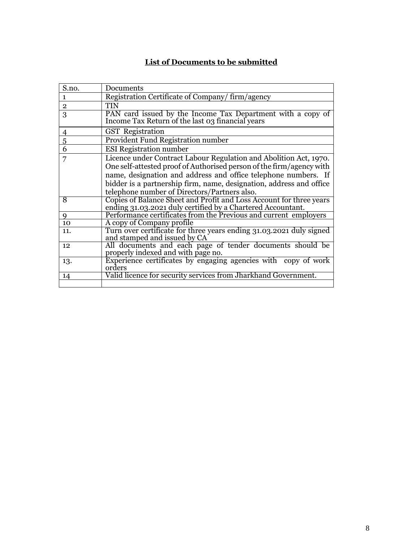# **List of Documents to be submitted**

| S.no.          | Documents                                                                                                                                                                                                                                                                                                                          |
|----------------|------------------------------------------------------------------------------------------------------------------------------------------------------------------------------------------------------------------------------------------------------------------------------------------------------------------------------------|
| $\mathbf{1}$   | Registration Certificate of Company/firm/agency                                                                                                                                                                                                                                                                                    |
| $\overline{2}$ | <b>TIN</b>                                                                                                                                                                                                                                                                                                                         |
| 3              | PAN card issued by the Income Tax Department with a copy of<br>Income Tax Return of the last 03 financial years                                                                                                                                                                                                                    |
| $\overline{4}$ | <b>GST</b> Registration                                                                                                                                                                                                                                                                                                            |
| 5              | Provident Fund Registration number                                                                                                                                                                                                                                                                                                 |
| $\overline{6}$ | <b>ESI Registration number</b>                                                                                                                                                                                                                                                                                                     |
| 7              | Licence under Contract Labour Regulation and Abolition Act, 1970.<br>One self-attested proof of Authorised person of the firm/agency with<br>name, designation and address and office telephone numbers. If<br>bidder is a partnership firm, name, designation, address and office<br>telephone number of Directors/Partners also. |
| 8              | Copies of Balance Sheet and Profit and Loss Account for three years<br>ending 31.03.2021 duly certified by a Chartered Accountant.                                                                                                                                                                                                 |
| 9              | Performance certificates from the Previous and current employers                                                                                                                                                                                                                                                                   |
| 10             | A copy of Company profile                                                                                                                                                                                                                                                                                                          |
| 11.            | Turn over certificate for three years ending 31.03.2021 duly signed<br>and stamped and issued by CA                                                                                                                                                                                                                                |
| 12             | All documents and each page of tender documents should be<br>properly indexed and with page no.                                                                                                                                                                                                                                    |
| 13.            | Experience certificates by engaging agencies with copy of work<br>orders                                                                                                                                                                                                                                                           |
| 14             | Valid licence for security services from Jharkhand Government.                                                                                                                                                                                                                                                                     |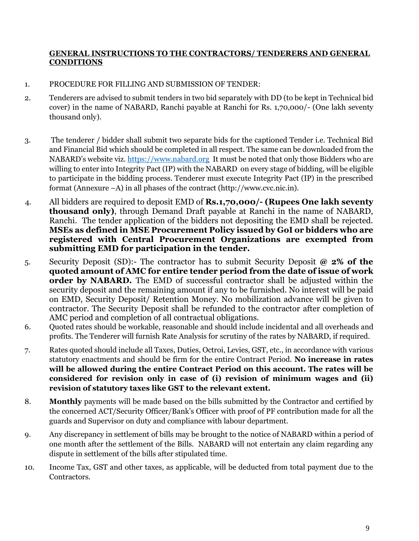#### **GENERAL INSTRUCTIONS TO THE CONTRACTORS/ TENDERERS AND GENERAL CONDITIONS**

### 1. PROCEDURE FOR FILLING AND SUBMISSION OF TENDER:

- 2. Tenderers are advised to submit tenders in two bid separately with DD (to be kept in Technical bid cover) in the name of NABARD, Ranchi payable at Ranchi for Rs. 1,70,000/- (One lakh seventy thousand only).
- 3. The tenderer / bidder shall submit two separate bids for the captioned Tender i.e. Technical Bid and Financial Bid which should be completed in all respect. The same can be downloaded from the NABARD's website viz. [https://www.nabard.org](https://www.nabard.org/) It must be noted that only those Bidders who are willing to enter into Integrity Pact (IP) with the NABARD on every stage of bidding, will be eligible to participate in the bidding process. Tenderer must execute Integrity Pact (IP) in the prescribed format (Annexure –A) in all phases of the contract (http://www.cvc.nic.in).
- 4. All bidders are required to deposit EMD of **Rs.1,70,000/- (Rupees One lakh seventy thousand only)**, through Demand Draft payable at Ranchi in the name of NABARD, Ranchi. The tender application of the bidders not depositing the EMD shall be rejected. **MSEs as defined in MSE Procurement Policy issued by GoI or bidders who are registered with Central Procurement Organizations are exempted from submitting EMD for participation in the tender.**
- 5. Security Deposit (SD):- The contractor has to submit Security Deposit **@ 2% of the quoted amount of AMC for entire tender period from the date of issue of work order by NABARD.** The EMD of successful contractor shall be adjusted within the security deposit and the remaining amount if any to be furnished. No interest will be paid on EMD, Security Deposit/ Retention Money. No mobilization advance will be given to contractor. The Security Deposit shall be refunded to the contractor after completion of AMC period and completion of all contractual obligations.
- 6. Quoted rates should be workable, reasonable and should include incidental and all overheads and profits. The Tenderer will furnish Rate Analysis for scrutiny of the rates by NABARD, if required.
- 7. Rates quoted should include all Taxes, Duties, Octroi, Levies, GST, etc., in accordance with various statutory enactments and should be firm for the entire Contract Period. **No increase in rates will be allowed during the entire Contract Period on this account. The rates will be considered for revision only in case of (i) revision of minimum wages and (ii) revision of statutory taxes like GST to the relevant extent.**
- 8. **Monthly** payments will be made based on the bills submitted by the Contractor and certified by the concerned ACT/Security Officer/Bank's Officer with proof of PF contribution made for all the guards and Supervisor on duty and compliance with labour department.
- 9. Any discrepancy in settlement of bills may be brought to the notice of NABARD within a period of one month after the settlement of the Bills. NABARD will not entertain any claim regarding any dispute in settlement of the bills after stipulated time.
- 10. Income Tax, GST and other taxes, as applicable, will be deducted from total payment due to the Contractors.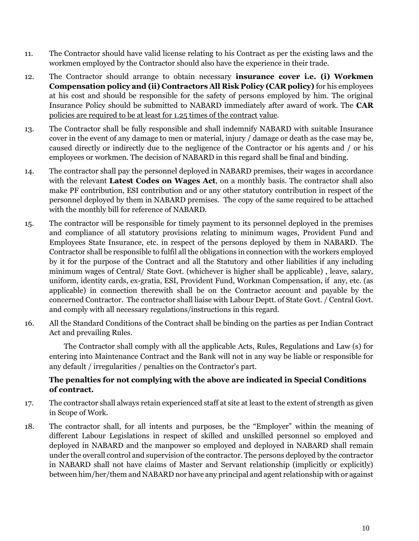- 11. The Contractor should have valid license relating to his Contract as per the existing laws and the workmen employed by the Contractor should also have the experience in their trade.
- 12. The Contractor should arrange to obtain necessary **insurance cover i.e. (i) Workmen Compensation policy and (ii) Contractors All Risk Policy (CAR policy)** for his employees at his cost and should be responsible for the safety of persons employed by him. The original Insurance Policy should be submitted to NABARD immediately after award of work. The **CAR**  policies are required to be at least for 1.25 times of the contract value.
- 13. The Contractor shall be fully responsible and shall indemnify NABARD with suitable Insurance cover in the event of any damage to men or material, injury / damage or death as the case may be, caused directly or indirectly due to the negligence of the Contractor or his agents and / or his employees or workmen. The decision of NABARD in this regard shall be final and binding.
- 14. The contractor shall pay the personnel deployed in NABARD premises, their wages in accordance with the relevant **Latest Codes on Wages Act**, on a monthly basis. The contractor shall also make PF contribution, ESI contribution and or any other statutory contribution in respect of the personnel deployed by them in NABARD premises. The copy of the same required to be attached with the monthly bill for reference of NABARD.
- 15. The contractor will be responsible for timely payment to its personnel deployed in the premises and compliance of all statutory provisions relating to minimum wages, Provident Fund and Employees State Insurance, etc. in respect of the persons deployed by them in NABARD. The Contractor shall be responsible to fulfil all the obligations in connection with the workers employed by it for the purpose of the Contract and all the Statutory and other liabilities if any including minimum wages of Central/ State Govt. (whichever is higher shall be applicable) , leave, salary, uniform, identity cards, ex-gratia, ESI, Provident Fund, Workman Compensation, if any, etc. (as applicable) in connection therewith shall be on the Contractor account and payable by the concerned Contractor. The contractor shall liaise with Labour Deptt. of State Govt. / Central Govt. and comply with all necessary regulations/instructions in this regard.
- 16. All the Standard Conditions of the Contract shall be binding on the parties as per Indian Contract Act and prevailing Rules.

The Contractor shall comply with all the applicable Acts, Rules, Regulations and Law (s) for entering into Maintenance Contract and the Bank will not in any way be liable or responsible for any default / irregularities / penalties on the Contractor's part.

#### **The penalties for not complying with the above are indicated in Special Conditions of contract.**

- 17. The contractor shall always retain experienced staff at site at least to the extent of strength as given in Scope of Work.
- 18. The contractor shall, for all intents and purposes, be the "Employer" within the meaning of different Labour Legislations in respect of skilled and unskilled personnel so employed and deployed in NABARD and the manpower so employed and deployed in NABARD shall remain under the overall control and supervision of the contractor. The persons deployed by the contractor in NABARD shall not have claims of Master and Servant relationship (implicitly or explicitly) between him/her/them and NABARD nor have any principal and agent relationship with or against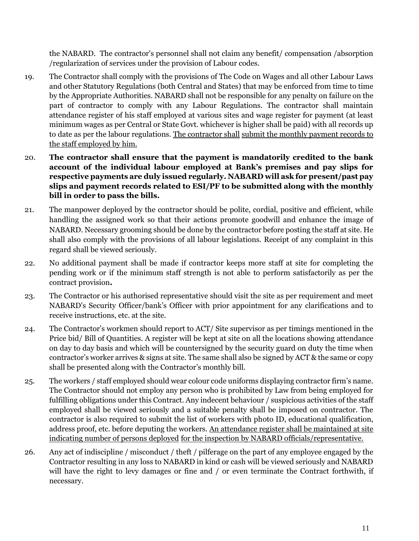the NABARD. The contractor's personnel shall not claim any benefit/ compensation /absorption /regularization of services under the provision of Labour codes.

- 19. The Contractor shall comply with the provisions of The Code on Wages and all other Labour Laws and other Statutory Regulations (both Central and States) that may be enforced from time to time by the Appropriate Authorities. NABARD shall not be responsible for any penalty on failure on the part of contractor to comply with any Labour Regulations. The contractor shall maintain attendance register of his staff employed at various sites and wage register for payment (at least minimum wages as per Central or State Govt. whichever is higher shall be paid) with all records up to date as per the labour regulations. The contractor shall submit the monthly payment records to the staff employed by him.
- 20. **The contractor shall ensure that the payment is mandatorily credited to the bank account of the individual labour employed at Bank's premises and pay slips for respective payments are duly issued regularly. NABARD will ask for present/past pay slips and payment records related to ESI/PF to be submitted along with the monthly bill in order to pass the bills.**
- 21. The manpower deployed by the contractor should be polite, cordial, positive and efficient, while handling the assigned work so that their actions promote goodwill and enhance the image of NABARD. Necessary grooming should be done by the contractor before posting the staff at site. He shall also comply with the provisions of all labour legislations. Receipt of any complaint in this regard shall be viewed seriously.
- 22. No additional payment shall be made if contractor keeps more staff at site for completing the pending work or if the minimum staff strength is not able to perform satisfactorily as per the contract provision**.**
- 23. The Contractor or his authorised representative should visit the site as per requirement and meet NABARD's Security Officer/bank's Officer with prior appointment for any clarifications and to receive instructions, etc. at the site.
- 24. The Contractor's workmen should report to ACT/ Site supervisor as per timings mentioned in the Price bid/ Bill of Quantities. A register will be kept at site on all the locations showing attendance on day to day basis and which will be countersigned by the security guard on duty the time when contractor's worker arrives & signs at site. The same shall also be signed by ACT & the same or copy shall be presented along with the Contractor's monthly bill.
- 25. The workers / staff employed should wear colour code uniforms displaying contractor firm's name. The Contractor should not employ any person who is prohibited by Law from being employed for fulfilling obligations under this Contract. Any indecent behaviour / suspicious activities of the staff employed shall be viewed seriously and a suitable penalty shall be imposed on contractor. The contractor is also required to submit the list of workers with photo ID, educational qualification, address proof, etc. before deputing the workers. An attendance register shall be maintained at site indicating number of persons deployed for the inspection by NABARD officials/representative.
- 26. Any act of indiscipline / misconduct / theft / pilferage on the part of any employee engaged by the Contractor resulting in any loss to NABARD in kind or cash will be viewed seriously and NABARD will have the right to levy damages or fine and / or even terminate the Contract forthwith, if necessary.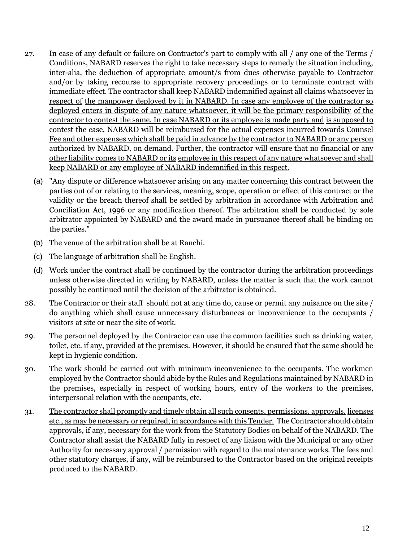- 27. In case of any default or failure on Contractor's part to comply with all / any one of the Terms / Conditions, NABARD reserves the right to take necessary steps to remedy the situation including, inter-alia, the deduction of appropriate amount/s from dues otherwise payable to Contractor and/or by taking recourse to appropriate recovery proceedings or to terminate contract with immediate effect. The contractor shall keep NABARD indemnified against all claims whatsoever in respect of the manpower deployed by it in NABARD. In case any employee of the contractor so deployed enters in dispute of any nature whatsoever, it will be the primary responsibility of the contractor to contest the same. In case NABARD or its employee is made party and is supposed to contest the case, NABARD will be reimbursed for the actual expenses incurred towards Counsel Fee and other expenses which shall be paid in advance by the contractor to NABARD or any person authorized by NABARD, on demand. Further, the contractor will ensure that no financial or any other liability comes to NABARD or its employee in this respect of any nature whatsoever and shall keep NABARD or any employee of NABARD indemnified in this respect.
	- (a) "Any dispute or difference whatsoever arising on any matter concerning this contract between the parties out of or relating to the services, meaning, scope, operation or effect of this contract or the validity or the breach thereof shall be settled by arbitration in accordance with Arbitration and Conciliation Act, 1996 or any modification thereof. The arbitration shall be conducted by sole arbitrator appointed by NABARD and the award made in pursuance thereof shall be binding on the parties."
	- (b) The venue of the arbitration shall be at Ranchi.
	- (c) The language of arbitration shall be English.
	- (d) Work under the contract shall be continued by the contractor during the arbitration proceedings unless otherwise directed in writing by NABARD, unless the matter is such that the work cannot possibly be continued until the decision of the arbitrator is obtained.
- 28. The Contractor or their staff should not at any time do, cause or permit any nuisance on the site / do anything which shall cause unnecessary disturbances or inconvenience to the occupants / visitors at site or near the site of work.
- 29. The personnel deployed by the Contractor can use the common facilities such as drinking water, toilet, etc. if any, provided at the premises. However, it should be ensured that the same should be kept in hygienic condition.
- 30. The work should be carried out with minimum inconvenience to the occupants. The workmen employed by the Contractor should abide by the Rules and Regulations maintained by NABARD in the premises, especially in respect of working hours, entry of the workers to the premises, interpersonal relation with the occupants, etc.
- 31. The contractor shall promptly and timely obtain all such consents, permissions, approvals, licenses etc., as may be necessary or required, in accordance with this Tender. The Contractor should obtain approvals, if any, necessary for the work from the Statutory Bodies on behalf of the NABARD. The Contractor shall assist the NABARD fully in respect of any liaison with the Municipal or any other Authority for necessary approval / permission with regard to the maintenance works. The fees and other statutory charges, if any, will be reimbursed to the Contractor based on the original receipts produced to the NABARD.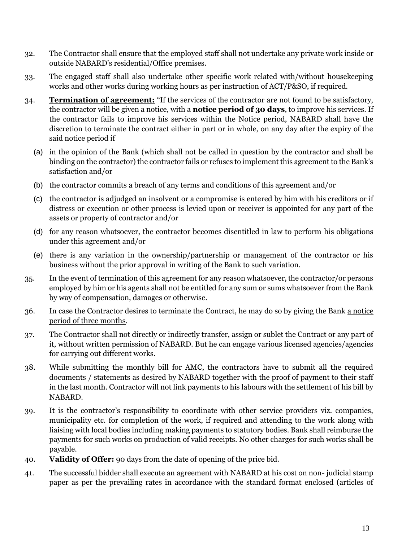- 32. The Contractor shall ensure that the employed staff shall not undertake any private work inside or outside NABARD's residential/Office premises.
- 33. The engaged staff shall also undertake other specific work related with/without housekeeping works and other works during working hours as per instruction of ACT/P&SO, if required.
- 34. **Termination of agreement:** "If the services of the contractor are not found to be satisfactory, the contractor will be given a notice, with a **notice period of 30 days**, to improve his services. If the contractor fails to improve his services within the Notice period, NABARD shall have the discretion to terminate the contract either in part or in whole, on any day after the expiry of the said notice period if
	- (a) in the opinion of the Bank (which shall not be called in question by the contractor and shall be binding on the contractor) the contractor fails or refuses to implement this agreement to the Bank's satisfaction and/or
	- (b) the contractor commits a breach of any terms and conditions of this agreement and/or
	- (c) the contractor is adjudged an insolvent or a compromise is entered by him with his creditors or if distress or execution or other process is levied upon or receiver is appointed for any part of the assets or property of contractor and/or
	- (d) for any reason whatsoever, the contractor becomes disentitled in law to perform his obligations under this agreement and/or
	- (e) there is any variation in the ownership/partnership or management of the contractor or his business without the prior approval in writing of the Bank to such variation.
- 35. In the event of termination of this agreement for any reason whatsoever, the contractor/or persons employed by him or his agents shall not be entitled for any sum or sums whatsoever from the Bank by way of compensation, damages or otherwise*.*
- 36. In case the Contractor desires to terminate the Contract, he may do so by giving the Bank a notice period of three months.
- 37. The Contractor shall not directly or indirectly transfer, assign or sublet the Contract or any part of it, without written permission of NABARD. But he can engage various licensed agencies/agencies for carrying out different works.
- 38. While submitting the monthly bill for AMC, the contractors have to submit all the required documents / statements as desired by NABARD together with the proof of payment to their staff in the last month. Contractor will not link payments to his labours with the settlement of his bill by NABARD.
- 39. It is the contractor's responsibility to coordinate with other service providers viz. companies, municipality etc. for completion of the work, if required and attending to the work along with liaising with local bodies including making payments to statutory bodies. Bank shall reimburse the payments for such works on production of valid receipts. No other charges for such works shall be payable.
- 40. **Validity of Offer:** 90 days from the date of opening of the price bid.
- 41. The successful bidder shall execute an agreement with NABARD at his cost on non- judicial stamp paper as per the prevailing rates in accordance with the standard format enclosed (articles of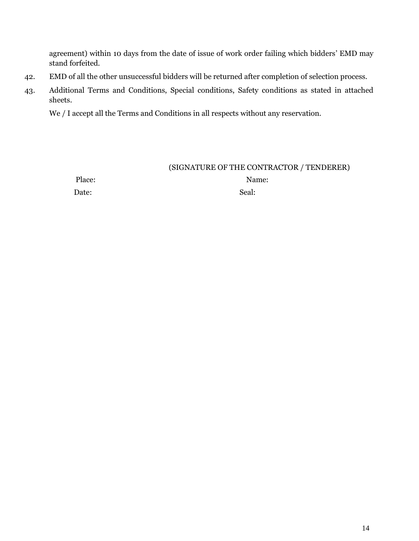agreement) within 10 days from the date of issue of work order failing which bidders' EMD may stand forfeited.

- 42. EMD of all the other unsuccessful bidders will be returned after completion of selection process.
- 43. Additional Terms and Conditions, Special conditions, Safety conditions as stated in attached sheets.

We / I accept all the Terms and Conditions in all respects without any reservation.

### (SIGNATURE OF THE CONTRACTOR / TENDERER)

Place: Name: Name: Name: Name: Name: Name: Name: Name: Name: Name: Name: Name: Name: Name: Name: Name: Name: Name: Name: Name: Name: Name: Name: Name: Name: Name: Name: Name: Name: Name: Name: Name: Name: Name: Name: Name: Date: Seal: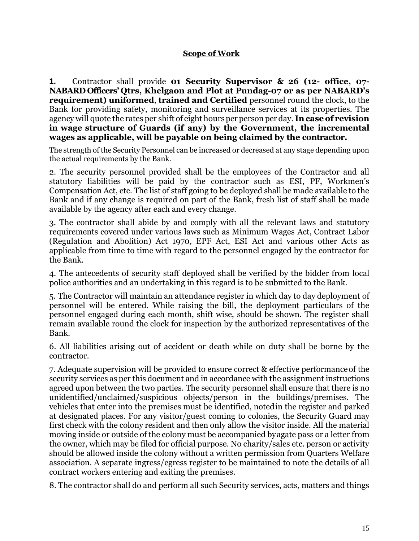#### **Scope of Work**

**1.** Contractor shall provide **01 Security Supervisor & 26 (12- office, 07- NABARD Officers' Qtrs, Khelgaon and Plot at Pundag-07 or as per NABARD's requirement) uniformed**, **trained and Certified** personnel round the clock, to the Bank for providing safety, monitoring and surveillance services at its properties. The agency will quote the rates per shift of eight hours per person per day. **Incase of revision in wage structure of Guards (if any) by the Government, the incremental wages as applicable, will be payable on being claimed by the contractor.**

The strength of the Security Personnel can be increased or decreased at any stage depending upon the actual requirements by the Bank.

2. The security personnel provided shall be the employees of the Contractor and all statutory liabilities will be paid by the contractor such as ESI, PF, Workmen's Compensation Act, etc. The list of staff going to be deployed shall be made available to the Bank and if any change is required on part of the Bank, fresh list of staff shall be made available by the agency after each and every change.

3. The contractor shall abide by and comply with all the relevant laws and statutory requirements covered under various laws such as Minimum Wages Act, Contract Labor (Regulation and Abolition) Act 1970, EPF Act, ESI Act and various other Acts as applicable from time to time with regard to the personnel engaged by the contractor for the Bank.

4. The antecedents of security staff deployed shall be verified by the bidder from local police authorities and an undertaking in this regard is to be submitted to the Bank.

5. The Contractor will maintain an attendance register in which day to day deployment of personnel will be entered. While raising the bill, the deployment particulars of the personnel engaged during each month, shift wise, should be shown. The register shall remain available round the clock for inspection by the authorized representatives of the Bank.

6. All liabilities arising out of accident or death while on duty shall be borne by the contractor.

7. Adequate supervision will be provided to ensure correct & effective performanceof the security services as per this document and in accordance with the assignment instructions agreed upon between the two parties. The security personnel shall ensure that there is no unidentified/unclaimed/suspicious objects/person in the buildings/premises. The vehicles that enter into the premises must be identified, notedin the register and parked at designated places. For any visitor/guest coming to colonies, the Security Guard may first check with the colony resident and then only allow the visitor inside. All the material moving inside or outside of the colony must be accompanied byagate pass or a letter from the owner, which may be filed for official purpose. No charity/sales etc. person or activity should be allowed inside the colony without a written permission from Quarters Welfare association. A separate ingress/egress register to be maintained to note the details of all contract workers entering and exiting the premises.

8. The contractor shall do and perform all such Security services, acts, matters and things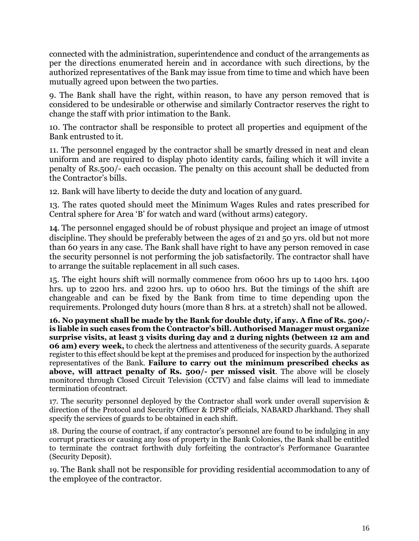connected with the administration, superintendence and conduct of the arrangements as per the directions enumerated herein and in accordance with such directions, by the authorized representatives of the Bank may issue from time to time and which have been mutually agreed upon between the two parties.

9. The Bank shall have the right, within reason, to have any person removed that is considered to be undesirable or otherwise and similarly Contractor reserves the right to change the staff with prior intimation to the Bank.

10. The contractor shall be responsible to protect all properties and equipment of the Bank entrusted to it.

11. The personnel engaged by the contractor shall be smartly dressed in neat and clean uniform and are required to display photo identity cards, failing which it will invite a penalty of Rs.500/- each occasion. The penalty on this account shall be deducted from the Contractor's bills.

12. Bank will have liberty to decide the duty and location of any guard.

13. The rates quoted should meet the Minimum Wages Rules and rates prescribed for Central sphere for Area 'B' for watch and ward (without arms) category.

14. The personnel engaged should be of robust physique and project an image of utmost discipline. They should be preferably between the ages of 21 and 50 yrs. old but not more than 60 years in any case. The Bank shall have right to have any person removed in case the security personnel is not performing the job satisfactorily. The contractor shall have to arrange the suitable replacement in all such cases.

15. The eight hours shift will normally commence from 0600 hrs up to 1400 hrs. 1400 hrs. up to 2200 hrs. and 2200 hrs. up to 0600 hrs. But the timings of the shift are changeable and can be fixed by the Bank from time to time depending upon the requirements. Prolonged duty hours (more than 8 hrs. at a stretch) shall not be allowed.

**16. No payment shall be made by the Bank for double duty, if any. A fine of Rs. 500/ is liable in such cases from the Contractor's bill. Authorised Manager must organize surprise visits, at least 3 visits during day and 2 during nights (between 12 am and 06 am) every week,** to check the alertness and attentiveness of the security guards. A separate register to this effect should be kept at the premises and produced for inspection by the authorized representatives of the Bank. **Failure to carry out the minimum prescribed checks as above, will attract penalty of Rs. 500/- per missed visit**. The above will be closely monitored through Closed Circuit Television (CCTV) and false claims will lead to immediate termination ofcontract.

17. The security personnel deployed by the Contractor shall work under overall supervision & direction of the Protocol and Security Officer & DPSP officials, NABARD Jharkhand. They shall specify the services of guards to be obtained in each shift.

18. During the course of contract, if any contractor's personnel are found to be indulging in any corrupt practices or causing any loss of property in the Bank Colonies, the Bank shall be entitled to terminate the contract forthwith duly forfeiting the contractor's Performance Guarantee (Security Deposit).

19. The Bank shall not be responsible for providing residential accommodation to any of the employee of the contractor.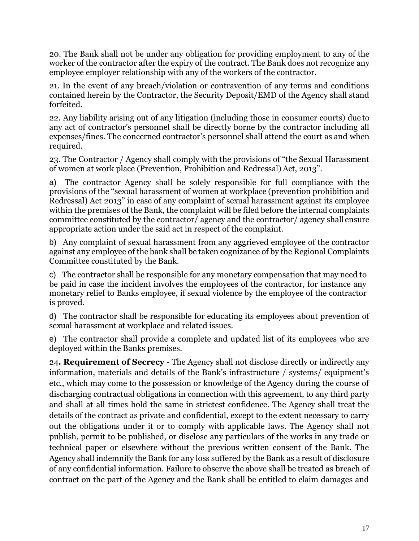20. The Bank shall not be under any obligation for providing employment to any of the worker of the contractor after the expiry of the contract. The Bank does not recognize any employee employer relationship with any of the workers of the contractor.

21. In the event of any breach/violation or contravention of any terms and conditions contained herein by the Contractor, the Security Deposit/EMD of the Agency shall stand forfeited.

22. Any liability arising out of any litigation (including those in consumer courts) due to any act of contractor's personnel shall be directly borne by the contractor including all expenses/fines. The concerned contractor's personnel shall attend the court as and when required.

23. The Contractor / Agency shall comply with the provisions of "the Sexual Harassment of women at work place (Prevention, Prohibition and Redressal) Act, 2013".

a) The contractor Agency shall be solely responsible for full compliance with the provisions of the "sexual harassment of women at workplace (prevention prohibition and Redressal) Act 2013" in case of any complaint of sexual harassment against its employee within the premises of the Bank, the complaint will be filed before the internal complaints committee constituted by the contractor/ agency and the contractor/ agency shall ensure appropriate action under the said act in respect of the complaint.

b) Any complaint of sexual harassment from any aggrieved employee of the contractor against any employee of the bank shall be taken cognizance of by the Regional Complaints Committee constituted by the Bank.

c) The contractor shall be responsible for any monetary compensation that may need to be paid in case the incident involves the employees of the contractor, for instance any monetary relief to Banks employee, if sexual violence by the employee of the contractor is proved.

d) The contractor shall be responsible for educating its employees about prevention of sexual harassment at workplace and related issues.

e) The contractor shall provide a complete and updated list of its employees who are deployed within the Banks premises.

24**. Requirement of Secrecy** - The Agency shall not disclose directly or indirectly any information, materials and details of the Bank's infrastructure / systems/ equipment's etc., which may come to the possession or knowledge of the Agency during the course of discharging contractual obligations in connection with this agreement, to any third party and shall at all times hold the same in strictest confidence. The Agency shall treat the details of the contract as private and confidential, except to the extent necessary to carry out the obligations under it or to comply with applicable laws. The Agency shall not publish, permit to be published, or disclose any particulars of the works in any trade or technical paper or elsewhere without the previous written consent of the Bank. The Agency shall indemnify the Bank for any loss suffered by the Bank as a result of disclosure of any confidential information. Failure to observe the above shall be treated as breach of contract on the part of the Agency and the Bank shall be entitled to claim damages and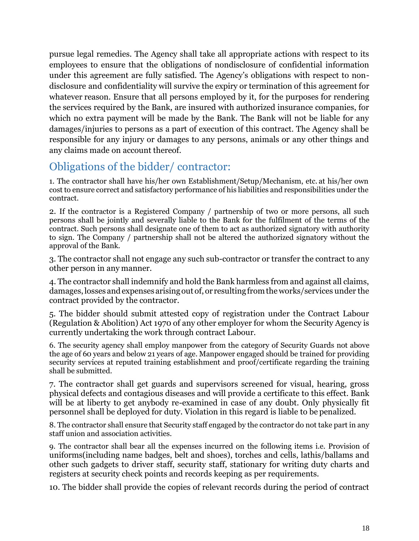pursue legal remedies. The Agency shall take all appropriate actions with respect to its employees to ensure that the obligations of nondisclosure of confidential information under this agreement are fully satisfied. The Agency's obligations with respect to nondisclosure and confidentiality will survive the expiry or termination of this agreement for whatever reason. Ensure that all persons employed by it, for the purposes for rendering the services required by the Bank, are insured with authorized insurance companies, for which no extra payment will be made by the Bank. The Bank will not be liable for any damages/injuries to persons as a part of execution of this contract. The Agency shall be responsible for any injury or damages to any persons, animals or any other things and any claims made on account thereof.

# Obligations of the bidder/ contractor:

1. The contractor shall have his/her own Establishment/Setup/Mechanism, etc. at his/her own cost to ensure correct and satisfactory performance of his liabilities and responsibilities under the contract.

2. If the contractor is a Registered Company / partnership of two or more persons, all such persons shall be jointly and severally liable to the Bank for the fulfilment of the terms of the contract. Such persons shall designate one of them to act as authorized signatory with authority to sign. The Company / partnership shall not be altered the authorized signatory without the approval of the Bank.

3. The contractor shall not engage any such sub-contractor or transfer the contract to any other person in any manner.

4. The contractor shall indemnify and hold the Bank harmless from and against all claims, damages,losses andexpenses arisingout of,or resultingfromtheworks/services under the contract provided by the contractor.

5. The bidder should submit attested copy of registration under the Contract Labour (Regulation & Abolition) Act 1970 of any other employer for whom the Security Agency is currently undertaking the work through contract Labour.

6. The security agency shall employ manpower from the category of Security Guards not above the age of 60 years and below 21 years of age. Manpower engaged should be trained for providing security services at reputed training establishment and proof/certificate regarding the training shall be submitted.

7. The contractor shall get guards and supervisors screened for visual, hearing, gross physical defects and contagious diseases and will provide a certificate to this effect. Bank will be at liberty to get anybody re-examined in case of any doubt. Only physically fit personnel shall be deployed for duty. Violation in this regard is liable to be penalized.

8. The contractor shall ensure that Security staff engaged by the contractor do not take part in any staff union and association activities.

9. The contractor shall bear all the expenses incurred on the following items i.e. Provision of uniforms(including name badges, belt and shoes), torches and cells, lathis/ballams and other such gadgets to driver staff, security staff, stationary for writing duty charts and registers at security check points and records keeping as per requirements.

10. The bidder shall provide the copies of relevant records during the period of contract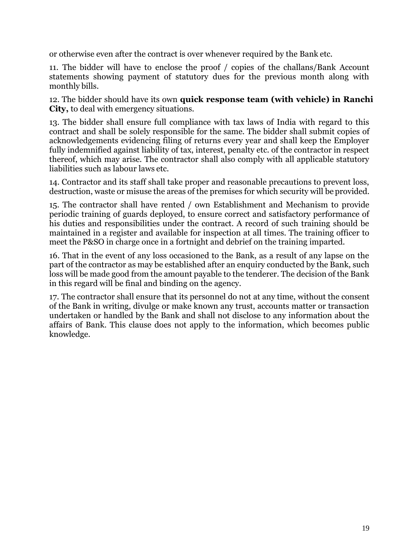or otherwise even after the contract is over whenever required by the Bank etc.

11. The bidder will have to enclose the proof / copies of the challans/Bank Account statements showing payment of statutory dues for the previous month along with monthly bills.

12. The bidder should have its own **quick response team (with vehicle) in Ranchi City,** to deal with emergency situations.

13. The bidder shall ensure full compliance with tax laws of India with regard to this contract and shall be solely responsible for the same. The bidder shall submit copies of acknowledgements evidencing filing of returns every year and shall keep the Employer fully indemnified against liability of tax, interest, penalty etc. of the contractor in respect thereof, which may arise. The contractor shall also comply with all applicable statutory liabilities such as labour laws etc.

14. Contractor and its staff shall take proper and reasonable precautions to prevent loss, destruction, waste or misuse the areas of the premises for which security will be provided.

15. The contractor shall have rented / own Establishment and Mechanism to provide periodic training of guards deployed, to ensure correct and satisfactory performance of his duties and responsibilities under the contract. A record of such training should be maintained in a register and available for inspection at all times. The training officer to meet the P&SO in charge once in a fortnight and debrief on the training imparted.

16. That in the event of any loss occasioned to the Bank, as a result of any lapse on the part of the contractor as may be established after an enquiry conducted by the Bank, such loss will be made good from the amount payable to the tenderer. The decision of the Bank in this regard will be final and binding on the agency.

17. The contractor shall ensure that its personnel do not at any time, without the consent of the Bank in writing, divulge or make known any trust, accounts matter or transaction undertaken or handled by the Bank and shall not disclose to any information about the affairs of Bank. This clause does not apply to the information, which becomes public knowledge.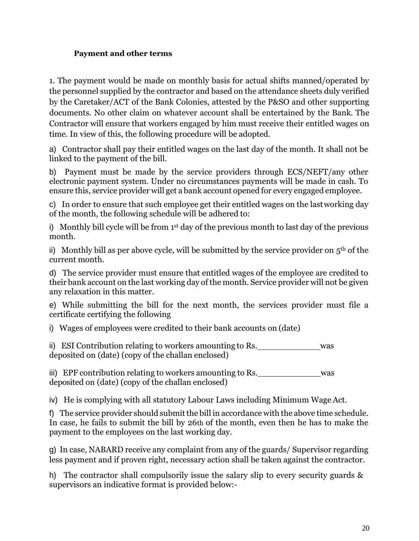### **Payment and other terms**

1. The payment would be made on monthly basis for actual shifts manned/operated by the personnel supplied by the contractor and based on the attendance sheets duly verified by the Caretaker/ACT of the Bank Colonies, attested by the P&SO and other supporting documents. No other claim on whatever account shall be entertained by the Bank. The Contractor will ensure that workers engaged by him must receive their entitled wages on time. In view of this, the following procedure will be adopted.

a) Contractor shall pay their entitled wages on the last day of the month. It shall not be linked to the payment of the bill.

b) Payment must be made by the service providers through ECS/NEFT/any other electronic payment system. Under no circumstances payments will be made in cash. To ensure this, service provider will get a bank account opened for every engaged employee.

c) In order to ensure that such employee get their entitled wages on the lastworking day of the month, the following schedule will be adhered to:

i) Monthly bill cycle will be from 1 st day of the previous month to last day of the previous month.

ii) Monthly bill as per above cycle, will be submitted by the service provider on  $5<sup>th</sup>$  of the current month.

d) The service provider must ensure that entitled wages of the employee are credited to their bank account on the last working day of the month. Service provider will not be given any relaxation in this matter.

e) While submitting the bill for the next month, the services provider must file a certificate certifying the following

i) Wages of employees were credited to their bank accounts on (date)

ii) ESI Contribution relating to workers amounting to Rs. was deposited on (date) (copy of the challan enclosed)

iii) EPF contribution relating to workers amounting to Rs. deposited on (date) (copy of the challan enclosed)

iv) He is complying with all statutory Labour Laws including Minimum Wage Act.

f) The service provider should submit the bill in accordance with the above time schedule. In case, he fails to submit the bill by 26th of the month, even then he has to make the payment to the employees on the last working day.

g) In case, NABARD receive any complaint from any of the guards/ Supervisor regarding less payment and if proven right, necessary action shall be taken against the contractor.

h) The contractor shall compulsorily issue the salary slip to every security guards & supervisors an indicative format is provided below:-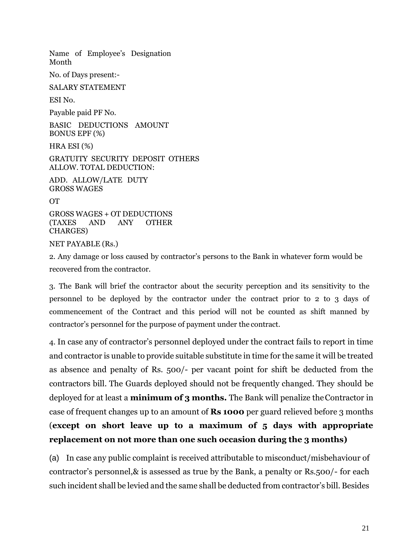Name of Employee's Designation Month

No. of Days present:-

SALARY STATEMENT

ESI No.

Payable paid PF No.

BASIC DEDUCTIONS AMOUNT BONUS EPF (%)

HRA ESI (%)

GRATUITY SECURITY DEPOSIT OTHERS ALLOW. TOTAL DEDUCTION:

ADD. ALLOW/LATE DUTY GROSS WAGES

OT

GROSS WAGES + OT DEDUCTIONS (TAXES AND ANY OTHER CHARGES)

NET PAYABLE (Rs.)

2. Any damage or loss caused by contractor's persons to the Bank in whatever form would be recovered from the contractor.

3. The Bank will brief the contractor about the security perception and its sensitivity to the personnel to be deployed by the contractor under the contract prior to 2 to 3 days of commencement of the Contract and this period will not be counted as shift manned by contractor's personnel for the purpose of payment under the contract.

4. In case any of contractor's personnel deployed under the contract fails to report in time and contractor is unable to provide suitable substitute in time for the same it will be treated as absence and penalty of Rs. 500/- per vacant point for shift be deducted from the contractors bill. The Guards deployed should not be frequently changed. They should be deployed for at least a **minimum of 3 months.** The Bank will penalize theContractor in case of frequent changes up to an amount of **Rs 1000** per guard relieved before 3 months (**except on short leave up to a maximum of 5 days with appropriate replacement on not more than one such occasion during the 3 months)**

(a) In case any public complaint is received attributable to misconduct/misbehaviour of contractor's personnel,& is assessed as true by the Bank, a penalty or Rs.500/- for each such incident shall be levied and the same shall be deducted from contractor's bill. Besides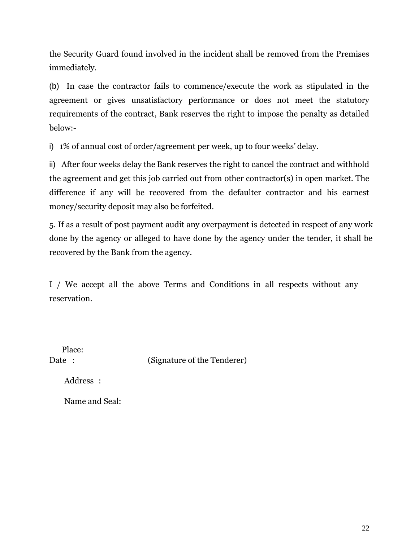the Security Guard found involved in the incident shall be removed from the Premises immediately.

(b) In case the contractor fails to commence/execute the work as stipulated in the agreement or gives unsatisfactory performance or does not meet the statutory requirements of the contract, Bank reserves the right to impose the penalty as detailed below:-

i) 1% of annual cost of order/agreement per week, up to four weeks' delay.

ii) After four weeks delay the Bank reserves the right to cancel the contract and withhold the agreement and get this job carried out from other contractor(s) in open market. The difference if any will be recovered from the defaulter contractor and his earnest money/security deposit may also be forfeited.

5. If as a result of post payment audit any overpayment is detected in respect of any work done by the agency or alleged to have done by the agency under the tender, it shall be recovered by the Bank from the agency.

I / We accept all the above Terms and Conditions in all respects without any reservation.

Place:

Date : (Signature of the Tenderer)

Address :

Name and Seal: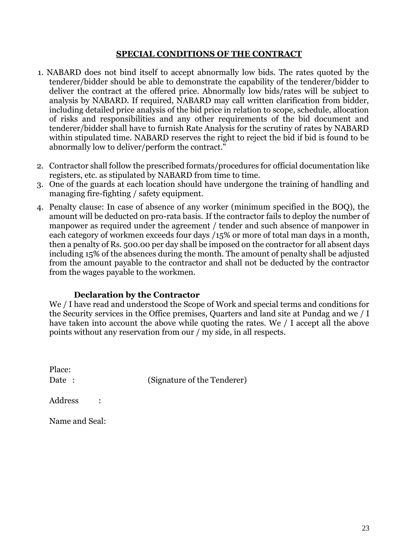#### **SPECIAL CONDITIONS OF THE CONTRACT**

- 1. NABARD does not bind itself to accept abnormally low bids. The rates quoted by the tenderer/bidder should be able to demonstrate the capability of the tenderer/bidder to deliver the contract at the offered price. Abnormally low bids/rates will be subject to analysis by NABARD. If required, NABARD may call written clarification from bidder, including detailed price analysis of the bid price in relation to scope, schedule, allocation of risks and responsibilities and any other requirements of the bid document and tenderer/bidder shall have to furnish Rate Analysis for the scrutiny of rates by NABARD within stipulated time. NABARD reserves the right to reject the bid if bid is found to be abnormally low to deliver/perform the contract."
- 2. Contractor shall follow the prescribed formats/procedures for official documentation like registers, etc. as stipulated by NABARD from time to time.
- 3. One of the guards at each location should have undergone the training of handling and managing fire-fighting / safety equipment.
- 4. Penalty clause: In case of absence of any worker (minimum specified in the BOQ), the amount will be deducted on pro-rata basis. If the contractor fails to deploy the number of manpower as required under the agreement / tender and such absence of manpower in each category of workmen exceeds four days /15% or more of total man days in a month, then a penalty of Rs. 500.00 per day shall be imposed on the contractor for all absent days including 15% of the absences during the month. The amount of penalty shall be adjusted from the amount payable to the contractor and shall not be deducted by the contractor from the wages payable to the workmen.

#### **Declaration by the Contractor**

We / I have read and understood the Scope of Work and special terms and conditions for the Security services in the Office premises, Quarters and land site at Pundag and we / I have taken into account the above while quoting the rates. We / I accept all the above points without any reservation from our / my side, in all respects.

Place: Date: (Signature of the Tenderer)

Address :

Name and Seal: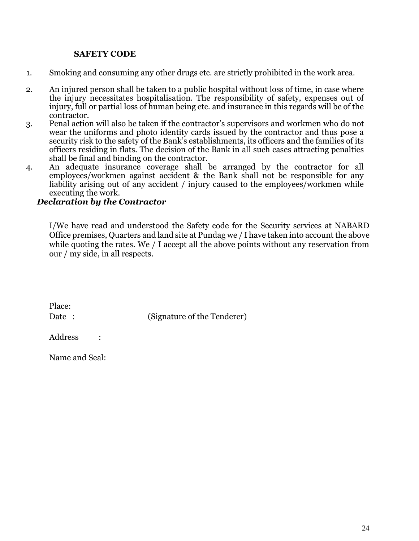#### **SAFETY CODE**

- 1. Smoking and consuming any other drugs etc. are strictly prohibited in the work area.
- 2. An injured person shall be taken to a public hospital without loss of time, in case where the injury necessitates hospitalisation. The responsibility of safety, expenses out of injury, full or partial loss of human being etc. and insurance in this regards will be of the contractor.
- 3. Penal action will also be taken if the contractor's supervisors and workmen who do not wear the uniforms and photo identity cards issued by the contractor and thus pose a security risk to the safety of the Bank's establishments, its officers and the families of its officers residing in flats. The decision of the Bank in all such cases attracting penalties shall be final and binding on the contractor.
- 4. An adequate insurance coverage shall be arranged by the contractor for all employees/workmen against accident & the Bank shall not be responsible for any liability arising out of any accident / injury caused to the employees/workmen while executing the work.

#### *Declaration by the Contractor*

I/We have read and understood the Safety code for the Security services at NABARD Office premises, Quarters and land site at Pundag we / I have taken into account the above while quoting the rates. We / I accept all the above points without any reservation from our / my side, in all respects.

| Place: |                             |
|--------|-----------------------------|
| Date : | (Signature of the Tenderer) |

Address :

Name and Seal: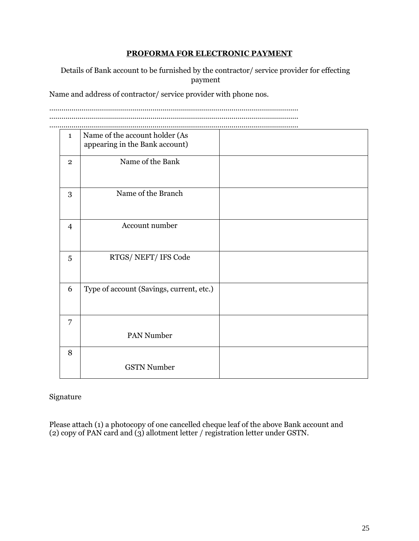#### **PROFORMA FOR ELECTRONIC PAYMENT**

Details of Bank account to be furnished by the contractor/ service provider for effecting payment

Name and address of contractor/ service provider with phone nos.

…………………………………………………………………………………………………………… …………………………………………………………………………………………………………… ……………………………………………………………………………………………………………

| $\mathbf{1}$   | Name of the account holder (As           |  |
|----------------|------------------------------------------|--|
|                | appearing in the Bank account)           |  |
|                |                                          |  |
| $\overline{2}$ | Name of the Bank                         |  |
|                |                                          |  |
|                |                                          |  |
|                |                                          |  |
| 3              | Name of the Branch                       |  |
|                |                                          |  |
|                |                                          |  |
|                |                                          |  |
| $\overline{4}$ | Account number                           |  |
|                |                                          |  |
|                |                                          |  |
|                |                                          |  |
|                | RTGS/NEFT/IFS Code                       |  |
| 5              |                                          |  |
|                |                                          |  |
|                |                                          |  |
| 6              | Type of account (Savings, current, etc.) |  |
|                |                                          |  |
|                |                                          |  |
|                |                                          |  |
|                |                                          |  |
| $\overline{7}$ |                                          |  |
|                | PAN Number                               |  |
|                |                                          |  |
| 8              |                                          |  |
|                |                                          |  |
|                | <b>GSTN Number</b>                       |  |
|                |                                          |  |
|                |                                          |  |

#### Signature

Please attach (1) a photocopy of one cancelled cheque leaf of the above Bank account and (2) copy of PAN card and (3) allotment letter / registration letter under GSTN.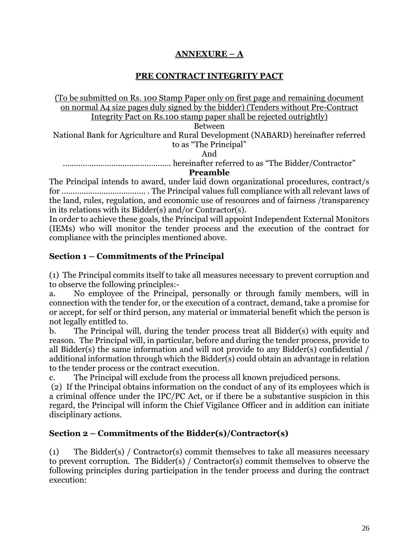# **ANNEXURE – A**

### **PRE CONTRACT INTEGRITY PACT**

(To be submitted on Rs. 100 Stamp Paper only on first page and remaining document on normal A4 size pages duly signed by the bidder) (Tenders without Pre-Contract Integrity Pact on Rs.100 stamp paper shall be rejected outrightly)

Between

National Bank for Agriculture and Rural Development (NABARD) hereinafter referred to as "The Principal"

And

…………………………………………. hereinafter referred to as "The Bidder/Contractor"

**Preamble**

The Principal intends to award, under laid down organizational procedures, contract/s for ……………………………….. . The Principal values full compliance with all relevant laws of the land, rules, regulation, and economic use of resources and of fairness /transparency in its relations with its Bidder(s) and/or Contractor(s).

In order to achieve these goals, the Principal will appoint Independent External Monitors (IEMs) who will monitor the tender process and the execution of the contract for compliance with the principles mentioned above.

# **Section 1 – Commitments of the Principal**

(1) The Principal commits itself to take all measures necessary to prevent corruption and to observe the following principles:-

a. No employee of the Principal, personally or through family members, will in connection with the tender for, or the execution of a contract, demand, take a promise for or accept, for self or third person, any material or immaterial benefit which the person is not legally entitled to.

b. The Principal will, during the tender process treat all Bidder(s) with equity and reason. The Principal will, in particular, before and during the tender process, provide to all Bidder(s) the same information and will not provide to any Bidder(s) confidential / additional information through which the Bidder(s) could obtain an advantage in relation to the tender process or the contract execution.

c. The Principal will exclude from the process all known prejudiced persons.

(2) If the Principal obtains information on the conduct of any of its employees which is a criminal offence under the IPC/PC Act, or if there be a substantive suspicion in this regard, the Principal will inform the Chief Vigilance Officer and in addition can initiate disciplinary actions.

### **Section 2 – Commitments of the Bidder(s)/Contractor(s)**

(1) The Bidder(s) / Contractor(s) commit themselves to take all measures necessary to prevent corruption. The Bidder(s) / Contractor(s) commit themselves to observe the following principles during participation in the tender process and during the contract execution: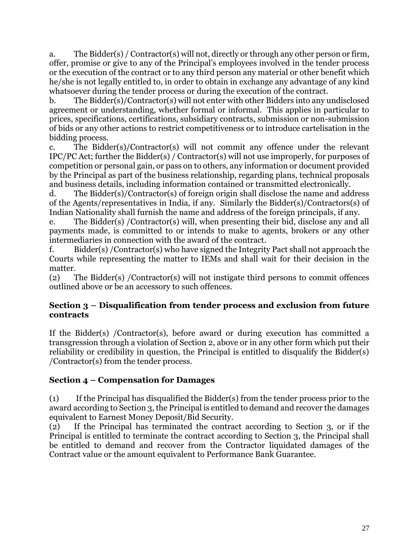a. The Bidder(s) / Contractor(s) will not, directly or through any other person or firm, offer, promise or give to any of the Principal's employees involved in the tender process or the execution of the contract or to any third person any material or other benefit which he/she is not legally entitled to, in order to obtain in exchange any advantage of any kind whatsoever during the tender process or during the execution of the contract.

b. The Bidder(s)/Contractor(s) will not enter with other Bidders into any undisclosed agreement or understanding, whether formal or informal. This applies in particular to prices, specifications, certifications, subsidiary contracts, submission or non-submission of bids or any other actions to restrict competitiveness or to introduce cartelisation in the bidding process.

c. The Bidder(s)/Contractor(s) will not commit any offence under the relevant IPC/PC Act; further the Bidder(s) / Contractor(s) will not use improperly, for purposes of competition or personal gain, or pass on to others, any information or document provided by the Principal as part of the business relationship, regarding plans, technical proposals and business details, including information contained or transmitted electronically.

d. The Bidder(s)/Contractor(s) of foreign origin shall disclose the name and address of the Agents/representatives in India, if any. Similarly the Bidder(s)/Contractors(s) of Indian Nationality shall furnish the name and address of the foreign principals, if any.

e. The Bidder(s) /Contractor(s) will, when presenting their bid, disclose any and all payments made, is committed to or intends to make to agents, brokers or any other intermediaries in connection with the award of the contract.

f. Bidder(s) /Contractor(s) who have signed the Integrity Pact shall not approach the Courts while representing the matter to IEMs and shall wait for their decision in the matter.

(2) The Bidder(s) /Contractor(s) will not instigate third persons to commit offences outlined above or be an accessory to such offences.

# **Section 3 – Disqualification from tender process and exclusion from future contracts**

If the Bidder(s) /Contractor(s), before award or during execution has committed a transgression through a violation of Section 2, above or in any other form which put their reliability or credibility in question, the Principal is entitled to disqualify the Bidder(s) /Contractor(s) from the tender process.

# **Section 4 – Compensation for Damages**

(1) If the Principal has disqualified the Bidder(s) from the tender process prior to the award according to Section 3, the Principal is entitled to demand and recover the damages equivalent to Earnest Money Deposit/Bid Security.

(2) If the Principal has terminated the contract according to Section 3, or if the Principal is entitled to terminate the contract according to Section 3, the Principal shall be entitled to demand and recover from the Contractor liquidated damages of the Contract value or the amount equivalent to Performance Bank Guarantee.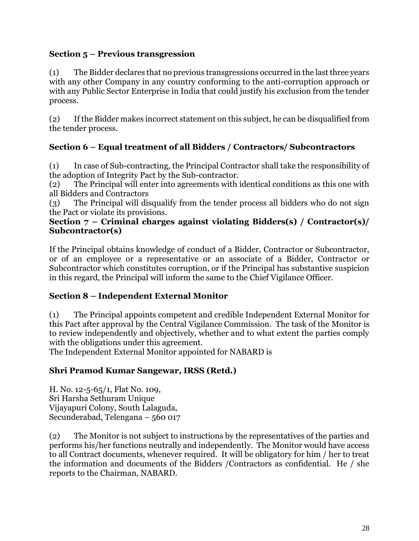# **Section 5 – Previous transgression**

(1) The Bidder declares that no previous transgressions occurred in the last three years with any other Company in any country conforming to the anti-corruption approach or with any Public Sector Enterprise in India that could justify his exclusion from the tender process.

(2) If the Bidder makes incorrect statement on this subject, he can be disqualified from the tender process.

# **Section 6 – Equal treatment of all Bidders / Contractors/ Subcontractors**

(1) In case of Sub-contracting, the Principal Contractor shall take the responsibility of the adoption of Integrity Pact by the Sub-contractor.

(2) The Principal will enter into agreements with identical conditions as this one with all Bidders and Contractors

(3) The Principal will disqualify from the tender process all bidders who do not sign the Pact or violate its provisions.

### **Section 7 – Criminal charges against violating Bidders(s) / Contractor(s)/ Subcontractor(s)**

If the Principal obtains knowledge of conduct of a Bidder, Contractor or Subcontractor, or of an employee or a representative or an associate of a Bidder, Contractor or Subcontractor which constitutes corruption, or if the Principal has substantive suspicion in this regard, the Principal will inform the same to the Chief Vigilance Officer.

### **Section 8 – Independent External Monitor**

(1) The Principal appoints competent and credible Independent External Monitor for this Pact after approval by the Central Vigilance Commission. The task of the Monitor is to review independently and objectively, whether and to what extent the parties comply with the obligations under this agreement.

The Independent External Monitor appointed for NABARD is

### **Shri Pramod Kumar Sangewar, IRSS (Retd.)**

H. No. 12-5-65/1, Flat No. 109, Sri Harsha Sethuram Unique Vijayapuri Colony, South Lalaguda, Secunderabad, Telengana – 560 017

(2) The Monitor is not subject to instructions by the representatives of the parties and performs his/her functions neutrally and independently. The Monitor would have access to all Contract documents, whenever required. It will be obligatory for him / her to treat the information and documents of the Bidders /Contractors as confidential. He / she reports to the Chairman, NABARD.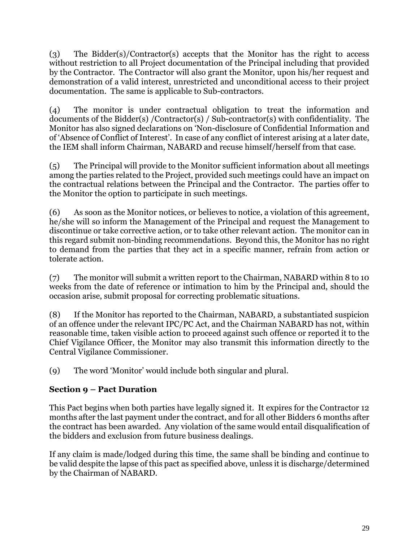(3) The Bidder(s)/Contractor(s) accepts that the Monitor has the right to access without restriction to all Project documentation of the Principal including that provided by the Contractor. The Contractor will also grant the Monitor, upon his/her request and demonstration of a valid interest, unrestricted and unconditional access to their project documentation. The same is applicable to Sub-contractors.

(4) The monitor is under contractual obligation to treat the information and documents of the Bidder(s) /Contractor(s) / Sub-contractor(s) with confidentiality. The Monitor has also signed declarations on 'Non-disclosure of Confidential Information and of 'Absence of Conflict of Interest'. In case of any conflict of interest arising at a later date, the IEM shall inform Chairman, NABARD and recuse himself/herself from that case.

(5) The Principal will provide to the Monitor sufficient information about all meetings among the parties related to the Project, provided such meetings could have an impact on the contractual relations between the Principal and the Contractor. The parties offer to the Monitor the option to participate in such meetings.

(6) As soon as the Monitor notices, or believes to notice, a violation of this agreement, he/she will so inform the Management of the Principal and request the Management to discontinue or take corrective action, or to take other relevant action. The monitor can in this regard submit non-binding recommendations. Beyond this, the Monitor has no right to demand from the parties that they act in a specific manner, refrain from action or tolerate action.

(7) The monitor will submit a written report to the Chairman, NABARD within 8 to 10 weeks from the date of reference or intimation to him by the Principal and, should the occasion arise, submit proposal for correcting problematic situations.

(8) If the Monitor has reported to the Chairman, NABARD, a substantiated suspicion of an offence under the relevant IPC/PC Act, and the Chairman NABARD has not, within reasonable time, taken visible action to proceed against such offence or reported it to the Chief Vigilance Officer, the Monitor may also transmit this information directly to the Central Vigilance Commissioner.

(9) The word 'Monitor' would include both singular and plural.

# **Section 9 – Pact Duration**

This Pact begins when both parties have legally signed it. It expires for the Contractor 12 months after the last payment under the contract, and for all other Bidders 6 months after the contract has been awarded. Any violation of the same would entail disqualification of the bidders and exclusion from future business dealings.

If any claim is made/lodged during this time, the same shall be binding and continue to be valid despite the lapse of this pact as specified above, unless it is discharge/determined by the Chairman of NABARD.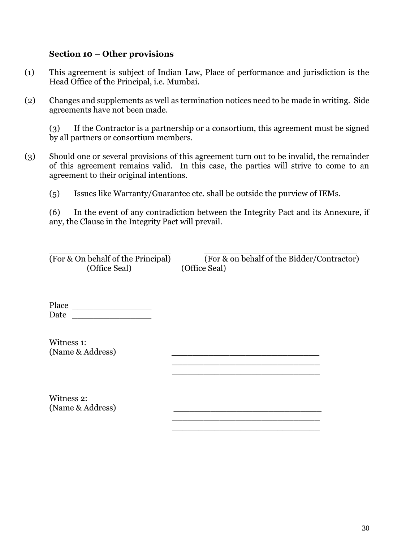#### **Section 10 – Other provisions**

- (1) This agreement is subject of Indian Law, Place of performance and jurisdiction is the Head Office of the Principal, i.e. Mumbai.
- (2) Changes and supplements as well as termination notices need to be made in writing. Side agreements have not been made.

(3) If the Contractor is a partnership or a consortium, this agreement must be signed by all partners or consortium members.

- (3) Should one or several provisions of this agreement turn out to be invalid, the remainder of this agreement remains valid. In this case, the parties will strive to come to an agreement to their original intentions.
	- (5) Issues like Warranty/Guarantee etc. shall be outside the purview of IEMs.

 $\frac{1}{\sqrt{2}}$  ,  $\frac{1}{\sqrt{2}}$  ,  $\frac{1}{\sqrt{2}}$  ,  $\frac{1}{\sqrt{2}}$  ,  $\frac{1}{\sqrt{2}}$  ,  $\frac{1}{\sqrt{2}}$  ,  $\frac{1}{\sqrt{2}}$  ,  $\frac{1}{\sqrt{2}}$  ,  $\frac{1}{\sqrt{2}}$  ,  $\frac{1}{\sqrt{2}}$  ,  $\frac{1}{\sqrt{2}}$  ,  $\frac{1}{\sqrt{2}}$  ,  $\frac{1}{\sqrt{2}}$  ,  $\frac{1}{\sqrt{2}}$  ,  $\frac{1}{\sqrt{2}}$  $\frac{1}{2}$  , and the set of the set of the set of the set of the set of the set of the set of the set of the set of the set of the set of the set of the set of the set of the set of the set of the set of the set of the set

(6) In the event of any contradiction between the Integrity Pact and its Annexure, if any, the Clause in the Integrity Pact will prevail.

\_\_\_\_\_\_\_\_\_\_\_\_\_\_\_\_\_\_\_\_\_\_\_ \_\_\_\_\_\_\_\_\_\_\_\_\_\_\_\_\_\_\_\_\_\_\_\_\_\_\_\_\_ (Office Seal) (Office Seal)

(For & On behalf of the Principal) (For & on behalf of the Bidder/Contractor)

Place \_\_\_\_\_\_\_\_\_\_\_\_\_\_\_ Date  $\Box$ 

Witness 1: (Name & Address)

Witness 2: (Name & Address)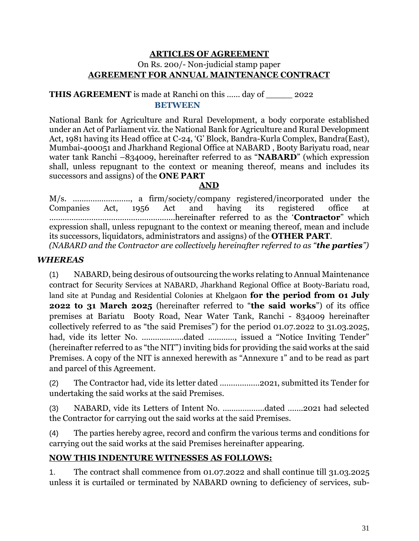### **ARTICLES OF AGREEMENT** On Rs. 200/- Non-judicial stamp paper **AGREEMENT FOR ANNUAL MAINTENANCE CONTRACT**

### **THIS AGREEMENT** is made at Ranchi on this …… day of \_\_\_\_\_ 2022 **BETWEEN**

National Bank for Agriculture and Rural Development, a body corporate established under an Act of Parliament viz. the National Bank for Agriculture and Rural Development Act, 1981 having its Head office at C-24, 'G' Block, Bandra-Kurla Complex, Bandra(East), Mumbai-400051 and Jharkhand Regional Office at NABARD , Booty Bariyatu road, near water tank Ranchi –834009, hereinafter referred to as "**NABARD**" (which expression shall, unless repugnant to the context or meaning thereof, means and includes its successors and assigns) of the **ONE PART**

### **AND**

M/s. …………………….., a firm/society/company registered/incorporated under the Companies Act, 1956 Act and having its registered office at …………………………………………………hereinafter referred to as the '**Contractor**" which expression shall, unless repugnant to the context or meaning thereof, mean and include its successors, liquidators, administrators and assigns) of the **OTHER PART**.

*(NABARD and the Contractor are collectively hereinafter referred to as "the parties")* 

# *WHEREAS*

(1) NABARD, being desirous of outsourcing the works relating to Annual Maintenance contract for Security Services at NABARD, Jharkhand Regional Office at Booty-Bariatu road, land site at Pundag and Residential Colonies at Khelgaon **for the period from 01 July 2022 to 31 March 2025** (hereinafter referred to "**the said works**") of its office premises at Bariatu Booty Road, Near Water Tank, Ranchi - 834009 hereinafter collectively referred to as "the said Premises") for the period 01.07.2022 to 31.03.2025, had, vide its letter No. ……………….dated …………, issued a "Notice Inviting Tender" (hereinafter referred to as "the NIT") inviting bids for providing the said works at the said Premises. A copy of the NIT is annexed herewith as "Annexure 1" and to be read as part and parcel of this Agreement.

(2) The Contractor had, vide its letter dated ………………2021, submitted its Tender for undertaking the said works at the said Premises.

(3) NABARD, vide its Letters of Intent No. ……………….dated …….2021 had selected the Contractor for carrying out the said works at the said Premises.

(4) The parties hereby agree, record and confirm the various terms and conditions for carrying out the said works at the said Premises hereinafter appearing.

### **NOW THIS INDENTURE WITNESSES AS FOLLOWS:**

1. The contract shall commence from 01.07.2022 and shall continue till 31.03.2025 unless it is curtailed or terminated by NABARD owning to deficiency of services, sub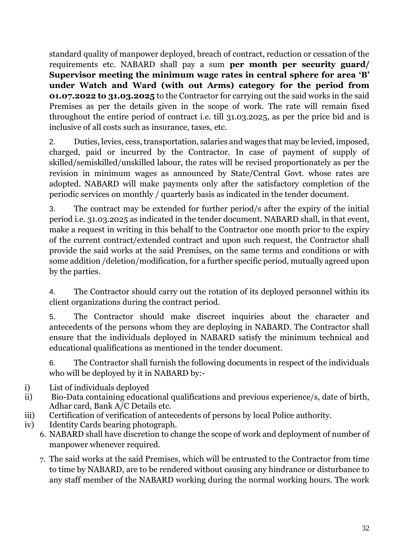standard quality of manpower deployed, breach of contract, reduction or cessation of the requirements etc. NABARD shall pay a sum **per month per security guard/ Supervisor meeting the minimum wage rates in central sphere for area 'B' under Watch and Ward (with out Arms) category for the period from 01.07.2022 to 31.03.2025** to the Contractor for carrying out the said works in the said Premises as per the details given in the scope of work. The rate will remain fixed throughout the entire period of contract i.e. till 31.03.2025, as per the price bid and is inclusive of all costs such as insurance, taxes, etc.

2. Duties, levies, cess, transportation, salaries and wages that may be levied, imposed, charged, paid or incurred by the Contractor. In case of payment of supply of skilled/semiskilled/unskilled labour, the rates will be revised proportionately as per the revision in minimum wages as announced by State/Central Govt. whose rates are adopted. NABARD will make payments only after the satisfactory completion of the periodic services on monthly / quarterly basis as indicated in the tender document.

3. The contract may be extended for further period/s after the expiry of the initial period i.e. 31.03.2025 as indicated in the tender document. NABARD shall, in that event, make a request in writing in this behalf to the Contractor one month prior to the expiry of the current contract/extended contract and upon such request, the Contractor shall provide the said works at the said Premises, on the same terms and conditions or with some addition /deletion/modification, for a further specific period, mutually agreed upon by the parties.

4. The Contractor should carry out the rotation of its deployed personnel within its client organizations during the contract period.

5. The Contractor should make discreet inquiries about the character and antecedents of the persons whom they are deploying in NABARD. The Contractor shall ensure that the individuals deployed in NABARD satisfy the minimum technical and educational qualifications as mentioned in the tender document.

6. The Contractor shall furnish the following documents in respect of the individuals who will be deployed by it in NABARD by:-

- i) List of individuals deployed
- ii) Bio-Data containing educational qualifications and previous experience/s, date of birth, Adhar card, Bank A/C Details etc.
- iii) Certification of verification of antecedents of persons by local Police authority.
- iv) Identity Cards bearing photograph.
	- 6. NABARD shall have discretion to change the scope of work and deployment of number of manpower whenever required.
	- 7. The said works at the said Premises, which will be entrusted to the Contractor from time to time by NABARD, are to be rendered without causing any hindrance or disturbance to any staff member of the NABARD working during the normal working hours. The work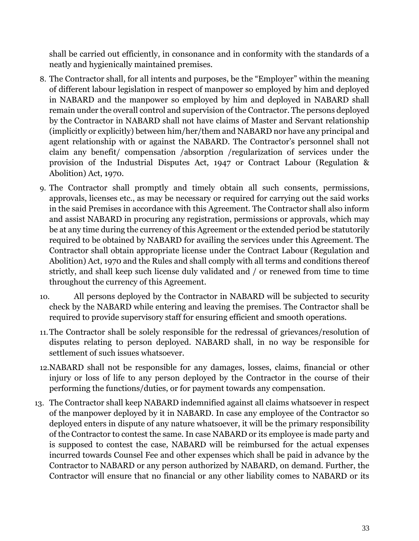shall be carried out efficiently, in consonance and in conformity with the standards of a neatly and hygienically maintained premises.

- 8. The Contractor shall, for all intents and purposes, be the "Employer" within the meaning of different labour legislation in respect of manpower so employed by him and deployed in NABARD and the manpower so employed by him and deployed in NABARD shall remain under the overall control and supervision of the Contractor. The persons deployed by the Contractor in NABARD shall not have claims of Master and Servant relationship (implicitly or explicitly) between him/her/them and NABARD nor have any principal and agent relationship with or against the NABARD. The Contractor's personnel shall not claim any benefit/ compensation /absorption /regularization of services under the provision of the Industrial Disputes Act, 1947 or Contract Labour (Regulation & Abolition) Act, 1970.
- 9. The Contractor shall promptly and timely obtain all such consents, permissions, approvals, licenses etc., as may be necessary or required for carrying out the said works in the said Premises in accordance with this Agreement. The Contractor shall also inform and assist NABARD in procuring any registration, permissions or approvals, which may be at any time during the currency of this Agreement or the extended period be statutorily required to be obtained by NABARD for availing the services under this Agreement. The Contractor shall obtain appropriate license under the Contract Labour (Regulation and Abolition) Act, 1970 and the Rules and shall comply with all terms and conditions thereof strictly, and shall keep such license duly validated and / or renewed from time to time throughout the currency of this Agreement.
- 10. All persons deployed by the Contractor in NABARD will be subjected to security check by the NABARD while entering and leaving the premises. The Contractor shall be required to provide supervisory staff for ensuring efficient and smooth operations.
- 11.The Contractor shall be solely responsible for the redressal of grievances/resolution of disputes relating to person deployed. NABARD shall, in no way be responsible for settlement of such issues whatsoever.
- 12.NABARD shall not be responsible for any damages, losses, claims, financial or other injury or loss of life to any person deployed by the Contractor in the course of their performing the functions/duties, or for payment towards any compensation.
- 13. The Contractor shall keep NABARD indemnified against all claims whatsoever in respect of the manpower deployed by it in NABARD. In case any employee of the Contractor so deployed enters in dispute of any nature whatsoever, it will be the primary responsibility of the Contractor to contest the same. In case NABARD or its employee is made party and is supposed to contest the case, NABARD will be reimbursed for the actual expenses incurred towards Counsel Fee and other expenses which shall be paid in advance by the Contractor to NABARD or any person authorized by NABARD, on demand. Further, the Contractor will ensure that no financial or any other liability comes to NABARD or its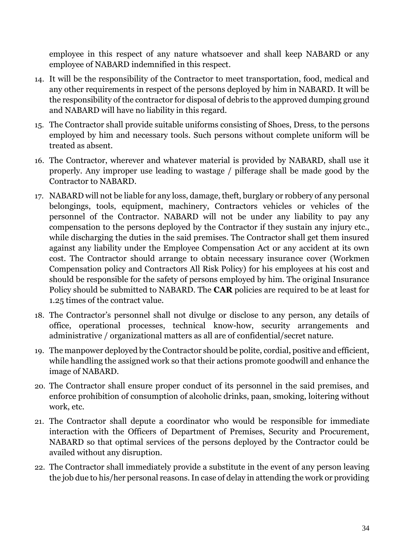employee in this respect of any nature whatsoever and shall keep NABARD or any employee of NABARD indemnified in this respect.

- 14. It will be the responsibility of the Contractor to meet transportation, food, medical and any other requirements in respect of the persons deployed by him in NABARD. It will be the responsibility of the contractor for disposal of debris to the approved dumping ground and NABARD will have no liability in this regard.
- 15. The Contractor shall provide suitable uniforms consisting of Shoes, Dress, to the persons employed by him and necessary tools. Such persons without complete uniform will be treated as absent.
- 16. The Contractor, wherever and whatever material is provided by NABARD, shall use it properly. Any improper use leading to wastage / pilferage shall be made good by the Contractor to NABARD.
- 17. NABARD will not be liable for any loss, damage, theft, burglary or robbery of any personal belongings, tools, equipment, machinery, Contractors vehicles or vehicles of the personnel of the Contractor. NABARD will not be under any liability to pay any compensation to the persons deployed by the Contractor if they sustain any injury etc., while discharging the duties in the said premises. The Contractor shall get them insured against any liability under the Employee Compensation Act or any accident at its own cost. The Contractor should arrange to obtain necessary insurance cover (Workmen Compensation policy and Contractors All Risk Policy) for his employees at his cost and should be responsible for the safety of persons employed by him. The original Insurance Policy should be submitted to NABARD. The **CAR** policies are required to be at least for 1.25 times of the contract value.
- 18. The Contractor's personnel shall not divulge or disclose to any person, any details of office, operational processes, technical know-how, security arrangements and administrative / organizational matters as all are of confidential/secret nature.
- 19. The manpower deployed by the Contractor should be polite, cordial, positive and efficient, while handling the assigned work so that their actions promote goodwill and enhance the image of NABARD.
- 20. The Contractor shall ensure proper conduct of its personnel in the said premises, and enforce prohibition of consumption of alcoholic drinks, paan, smoking, loitering without work, etc.
- 21. The Contractor shall depute a coordinator who would be responsible for immediate interaction with the Officers of Department of Premises, Security and Procurement, NABARD so that optimal services of the persons deployed by the Contractor could be availed without any disruption.
- 22. The Contractor shall immediately provide a substitute in the event of any person leaving the job due to his/her personal reasons. In case of delay in attending the work or providing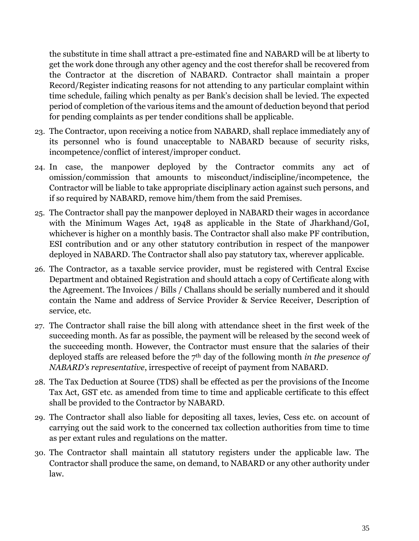the substitute in time shall attract a pre-estimated fine and NABARD will be at liberty to get the work done through any other agency and the cost therefor shall be recovered from the Contractor at the discretion of NABARD. Contractor shall maintain a proper Record/Register indicating reasons for not attending to any particular complaint within time schedule, failing which penalty as per Bank's decision shall be levied. The expected period of completion of the various items and the amount of deduction beyond that period for pending complaints as per tender conditions shall be applicable.

- 23. The Contractor, upon receiving a notice from NABARD, shall replace immediately any of its personnel who is found unacceptable to NABARD because of security risks, incompetence/conflict of interest/improper conduct.
- 24. In case, the manpower deployed by the Contractor commits any act of omission/commission that amounts to misconduct/indiscipline/incompetence, the Contractor will be liable to take appropriate disciplinary action against such persons, and if so required by NABARD, remove him/them from the said Premises.
- 25. The Contractor shall pay the manpower deployed in NABARD their wages in accordance with the Minimum Wages Act, 1948 as applicable in the State of Jharkhand/GoI, whichever is higher on a monthly basis. The Contractor shall also make PF contribution, ESI contribution and or any other statutory contribution in respect of the manpower deployed in NABARD. The Contractor shall also pay statutory tax, wherever applicable.
- 26. The Contractor, as a taxable service provider, must be registered with Central Excise Department and obtained Registration and should attach a copy of Certificate along with the Agreement. The Invoices / Bills / Challans should be serially numbered and it should contain the Name and address of Service Provider & Service Receiver, Description of service, etc.
- 27. The Contractor shall raise the bill along with attendance sheet in the first week of the succeeding month. As far as possible, the payment will be released by the second week of the succeeding month. However, the Contractor must ensure that the salaries of their deployed staffs are released before the 7th day of the following month *in the presence of NABARD's representative*, irrespective of receipt of payment from NABARD.
- 28. The Tax Deduction at Source (TDS) shall be effected as per the provisions of the Income Tax Act, GST etc. as amended from time to time and applicable certificate to this effect shall be provided to the Contractor by NABARD.
- 29. The Contractor shall also liable for depositing all taxes, levies, Cess etc. on account of carrying out the said work to the concerned tax collection authorities from time to time as per extant rules and regulations on the matter.
- 30. The Contractor shall maintain all statutory registers under the applicable law. The Contractor shall produce the same, on demand, to NABARD or any other authority under law.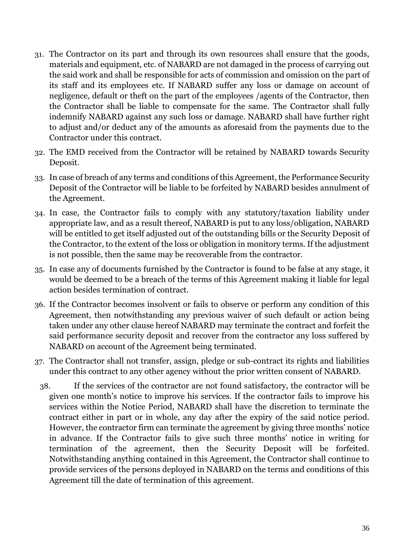- 31. The Contractor on its part and through its own resources shall ensure that the goods, materials and equipment, etc. of NABARD are not damaged in the process of carrying out the said work and shall be responsible for acts of commission and omission on the part of its staff and its employees etc. If NABARD suffer any loss or damage on account of negligence, default or theft on the part of the employees /agents of the Contractor, then the Contractor shall be liable to compensate for the same. The Contractor shall fully indemnify NABARD against any such loss or damage. NABARD shall have further right to adjust and/or deduct any of the amounts as aforesaid from the payments due to the Contractor under this contract.
- 32. The EMD received from the Contractor will be retained by NABARD towards Security Deposit.
- 33. In case of breach of any terms and conditions of this Agreement, the Performance Security Deposit of the Contractor will be liable to be forfeited by NABARD besides annulment of the Agreement.
- 34. In case, the Contractor fails to comply with any statutory/taxation liability under appropriate law, and as a result thereof, NABARD is put to any loss/obligation, NABARD will be entitled to get itself adjusted out of the outstanding bills or the Security Deposit of the Contractor, to the extent of the loss or obligation in monitory terms. If the adjustment is not possible, then the same may be recoverable from the contractor.
- 35. In case any of documents furnished by the Contractor is found to be false at any stage, it would be deemed to be a breach of the terms of this Agreement making it liable for legal action besides termination of contract.
- 36. If the Contractor becomes insolvent or fails to observe or perform any condition of this Agreement, then notwithstanding any previous waiver of such default or action being taken under any other clause hereof NABARD may terminate the contract and forfeit the said performance security deposit and recover from the contractor any loss suffered by NABARD on account of the Agreement being terminated.
- 37. The Contractor shall not transfer, assign, pledge or sub-contract its rights and liabilities under this contract to any other agency without the prior written consent of NABARD.
- 38. If the services of the contractor are not found satisfactory, the contractor will be given one month's notice to improve his services. If the contractor fails to improve his services within the Notice Period, NABARD shall have the discretion to terminate the contract either in part or in whole, any day after the expiry of the said notice period. However, the contractor firm can terminate the agreement by giving three months' notice in advance. If the Contractor fails to give such three months' notice in writing for termination of the agreement, then the Security Deposit will be forfeited. Notwithstanding anything contained in this Agreement, the Contractor shall continue to provide services of the persons deployed in NABARD on the terms and conditions of this Agreement till the date of termination of this agreement.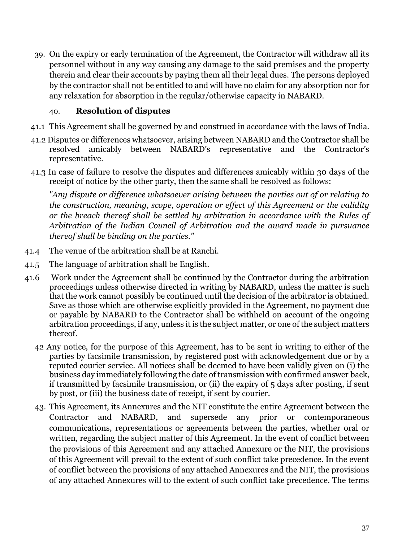39. On the expiry or early termination of the Agreement, the Contractor will withdraw all its personnel without in any way causing any damage to the said premises and the property therein and clear their accounts by paying them all their legal dues. The persons deployed by the contractor shall not be entitled to and will have no claim for any absorption nor for any relaxation for absorption in the regular/otherwise capacity in NABARD.

# 40. **Resolution of disputes**

- 41.1 This Agreement shall be governed by and construed in accordance with the laws of India.
- 41.2 Disputes or differences whatsoever, arising between NABARD and the Contractor shall be resolved amicably between NABARD's representative and the Contractor's representative.
- 41.3 In case of failure to resolve the disputes and differences amicably within 30 days of the receipt of notice by the other party, then the same shall be resolved as follows:

*"Any dispute or difference whatsoever arising between the parties out of or relating to the construction, meaning, scope, operation or effect of this Agreement or the validity or the breach thereof shall be settled by arbitration in accordance with the Rules of Arbitration of the Indian Council of Arbitration and the award made in pursuance thereof shall be binding on the parties."*

- 41.4 The venue of the arbitration shall be at Ranchi.
- 41.5 The language of arbitration shall be English.
- 41.6 Work under the Agreement shall be continued by the Contractor during the arbitration proceedings unless otherwise directed in writing by NABARD, unless the matter is such that the work cannot possibly be continued until the decision of the arbitrator is obtained. Save as those which are otherwise explicitly provided in the Agreement, no payment due or payable by NABARD to the Contractor shall be withheld on account of the ongoing arbitration proceedings, if any, unless it is the subject matter, or one of the subject matters thereof.
	- 42 Any notice, for the purpose of this Agreement, has to be sent in writing to either of the parties by facsimile transmission, by registered post with acknowledgement due or by a reputed courier service. All notices shall be deemed to have been validly given on (i) the business day immediately following the date of transmission with confirmed answer back, if transmitted by facsimile transmission, or (ii) the expiry of 5 days after posting, if sent by post, or (iii) the business date of receipt, if sent by courier.
	- 43. This Agreement, its Annexures and the NIT constitute the entire Agreement between the Contractor and NABARD, and supersede any prior or contemporaneous communications, representations or agreements between the parties, whether oral or written, regarding the subject matter of this Agreement. In the event of conflict between the provisions of this Agreement and any attached Annexure or the NIT, the provisions of this Agreement will prevail to the extent of such conflict take precedence. In the event of conflict between the provisions of any attached Annexures and the NIT, the provisions of any attached Annexures will to the extent of such conflict take precedence. The terms